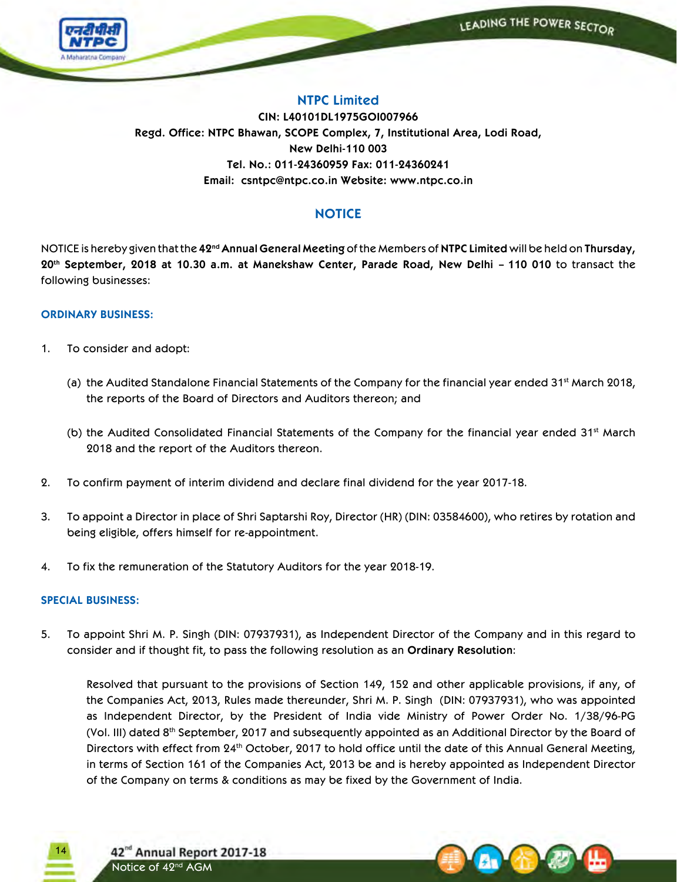

## **NTPC Limited**

**CIN: L40101DL1975GOI007966 Regd. Office: NTPC Bhawan, SCOPE Complex, 7, Institutional Area, Lodi Road, New Delhi-110 003 Tel. No.: 011-24360959 Fax: 011-24360241 Email: csntpc@ntpc.co.in Website: www.ntpc.co.in**

# **NOTICE**

NOTICE is hereby given that the **42ndAnnual General Meeting** of the Members of **NTPC Limited** will be held on **Thursday, 20th September, 2018 at 10.30 a.m. at Manekshaw Center, Parade Road, New Delhi – 110 010** to transact the following businesses:

## **ORDINARY BUSINESS:**

- 1. To consider and adopt:
	- (a) the Audited Standalone Financial Statements of the Company for the financial year ended 31<sup>st</sup> March 2018, the reports of the Board of Directors and Auditors thereon; and
	- (b) the Audited Consolidated Financial Statements of the Company for the financial year ended  $31<sup>st</sup>$  March 2018 and the report of the Auditors thereon.
- 2. To confirm payment of interim dividend and declare final dividend for the year 2017-18.
- 3. To appoint a Director in place of Shri Saptarshi Roy, Director (HR) (DIN: 03584600), who retires by rotation and being eligible, offers himself for re-appointment.
- 4. To fix the remuneration of the Statutory Auditors for the year 2018-19.

### **SPECIAL BUSINESS:**

5. To appoint Shri M. P. Singh (DIN: 07937931), as Independent Director of the Company and in this regard to consider and if thought fit, to pass the following resolution as an **Ordinary Resolution**:

 Resolved that pursuant to the provisions of Section 149, 152 and other applicable provisions, if any, of the Companies Act, 2013, Rules made thereunder, Shri M. P. Singh (DIN: 07937931), who was appointed as Independent Director, by the President of India vide Ministry of Power Order No. 1/38/96-PG (Vol. III) dated 8th September, 2017 and subsequently appointed as an Additional Director by the Board of Directors with effect from 24<sup>th</sup> October, 2017 to hold office until the date of this Annual General Meeting, in terms of Section 161 of the Companies Act, 2013 be and is hereby appointed as Independent Director of the Company on terms & conditions as may be fixed by the Government of India.

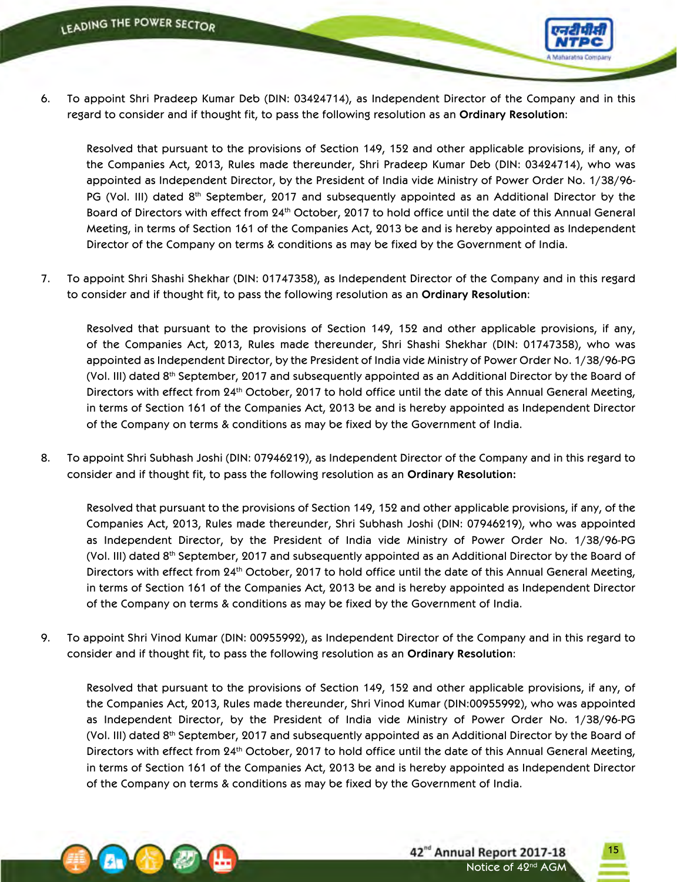

6. To appoint Shri Pradeep Kumar Deb (DIN: 03424714), as Independent Director of the Company and in this regard to consider and if thought fit, to pass the following resolution as an **Ordinary Resolution**:

 Resolved that pursuant to the provisions of Section 149, 152 and other applicable provisions, if any, of the Companies Act, 2013, Rules made thereunder, Shri Pradeep Kumar Deb (DIN: 03424714), who was appointed as Independent Director, by the President of India vide Ministry of Power Order No. 1/38/96- PG (Vol. III) dated 8<sup>th</sup> September, 2017 and subsequently appointed as an Additional Director by the Board of Directors with effect from 24<sup>th</sup> October, 2017 to hold office until the date of this Annual General Meeting, in terms of Section 161 of the Companies Act, 2013 be and is hereby appointed as Independent Director of the Company on terms & conditions as may be fixed by the Government of India.

7. To appoint Shri Shashi Shekhar (DIN: 01747358), as Independent Director of the Company and in this regard to consider and if thought fit, to pass the following resolution as an **Ordinary Resolution**:

 Resolved that pursuant to the provisions of Section 149, 152 and other applicable provisions, if any, of the Companies Act, 2013, Rules made thereunder, Shri Shashi Shekhar (DIN: 01747358), who was appointed as Independent Director, by the President of India vide Ministry of Power Order No. 1/38/96-PG (Vol. III) dated 8th September, 2017 and subsequently appointed as an Additional Director by the Board of Directors with effect from 24<sup>th</sup> October, 2017 to hold office until the date of this Annual General Meeting, in terms of Section 161 of the Companies Act, 2013 be and is hereby appointed as Independent Director of the Company on terms & conditions as may be fixed by the Government of India.

8. To appoint Shri Subhash Joshi (DIN: 07946219), as Independent Director of the Company and in this regard to consider and if thought fit, to pass the following resolution as an **Ordinary Resolution:**

 Resolved that pursuant to the provisions of Section 149, 152 and other applicable provisions, if any, of the Companies Act, 2013, Rules made thereunder, Shri Subhash Joshi (DIN: 07946219), who was appointed as Independent Director, by the President of India vide Ministry of Power Order No. 1/38/96-PG (Vol. III) dated 8th September, 2017 and subsequently appointed as an Additional Director by the Board of Directors with effect from 24<sup>th</sup> October, 2017 to hold office until the date of this Annual General Meeting, in terms of Section 161 of the Companies Act, 2013 be and is hereby appointed as Independent Director of the Company on terms & conditions as may be fixed by the Government of India.

9. To appoint Shri Vinod Kumar (DIN: 00955992), as Independent Director of the Company and in this regard to consider and if thought fit, to pass the following resolution as an **Ordinary Resolution**:

 Resolved that pursuant to the provisions of Section 149, 152 and other applicable provisions, if any, of the Companies Act, 2013, Rules made thereunder, Shri Vinod Kumar (DIN:00955992), who was appointed as Independent Director, by the President of India vide Ministry of Power Order No. 1/38/96-PG (Vol. III) dated 8th September, 2017 and subsequently appointed as an Additional Director by the Board of Directors with effect from 24<sup>th</sup> October, 2017 to hold office until the date of this Annual General Meeting, in terms of Section 161 of the Companies Act, 2013 be and is hereby appointed as Independent Director of the Company on terms & conditions as may be fixed by the Government of India.

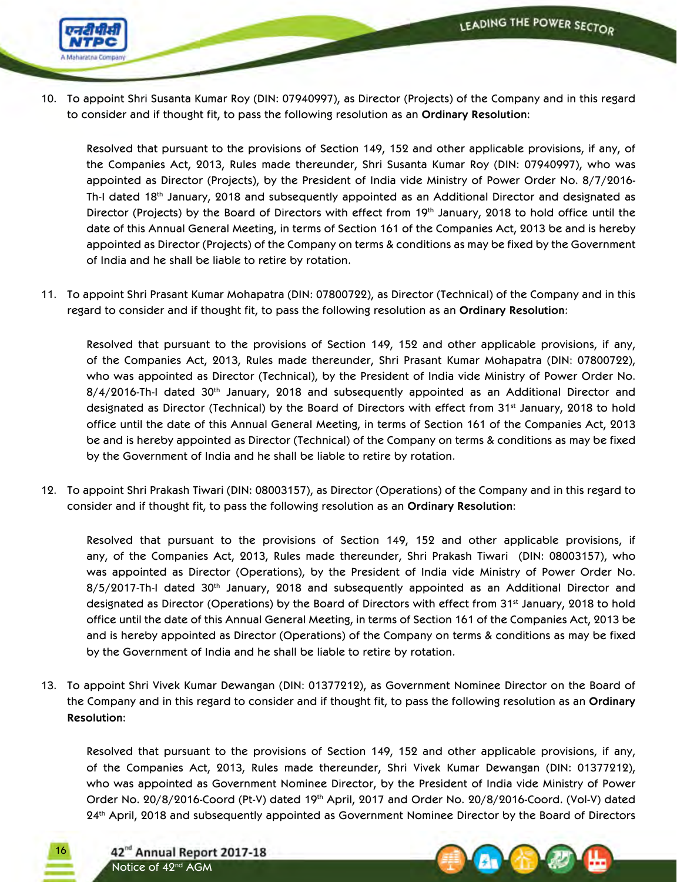

10. To appoint Shri Susanta Kumar Roy (DIN: 07940997), as Director (Projects) of the Company and in this regard to consider and if thought fit, to pass the following resolution as an **Ordinary Resolution**:

 Resolved that pursuant to the provisions of Section 149, 152 and other applicable provisions, if any, of the Companies Act, 2013, Rules made thereunder, Shri Susanta Kumar Roy (DIN: 07940997), who was appointed as Director (Projects), by the President of India vide Ministry of Power Order No. 8/7/2016- Th-I dated 18th January, 2018 and subsequently appointed as an Additional Director and designated as Director (Projects) by the Board of Directors with effect from 19th January, 2018 to hold office until the date of this Annual General Meeting, in terms of Section 161 of the Companies Act, 2013 be and is hereby appointed as Director (Projects) of the Company on terms & conditions as may be fixed by the Government of India and he shall be liable to retire by rotation.

11. To appoint Shri Prasant Kumar Mohapatra (DIN: 07800722), as Director (Technical) of the Company and in this regard to consider and if thought fit, to pass the following resolution as an **Ordinary Resolution**:

 Resolved that pursuant to the provisions of Section 149, 152 and other applicable provisions, if any, of the Companies Act, 2013, Rules made thereunder, Shri Prasant Kumar Mohapatra (DIN: 07800722), who was appointed as Director (Technical), by the President of India vide Ministry of Power Order No. 8/4/2016-Th-I dated 30<sup>th</sup> January, 2018 and subsequently appointed as an Additional Director and designated as Director (Technical) by the Board of Directors with effect from 31st January, 2018 to hold office until the date of this Annual General Meeting, in terms of Section 161 of the Companies Act, 2013 be and is hereby appointed as Director (Technical) of the Company on terms & conditions as may be fixed by the Government of India and he shall be liable to retire by rotation.

12. To appoint Shri Prakash Tiwari (DIN: 08003157), as Director (Operations) of the Company and in this regard to consider and if thought fit, to pass the following resolution as an **Ordinary Resolution**:

 Resolved that pursuant to the provisions of Section 149, 152 and other applicable provisions, if any, of the Companies Act, 2013, Rules made thereunder, Shri Prakash Tiwari (DIN: 08003157), who was appointed as Director (Operations), by the President of India vide Ministry of Power Order No. 8/5/2017-Th-I dated 30<sup>th</sup> January, 2018 and subsequently appointed as an Additional Director and designated as Director (Operations) by the Board of Directors with effect from 31<sup>st</sup> January, 2018 to hold office until the date of this Annual General Meeting, in terms of Section 161 of the Companies Act, 2013 be and is hereby appointed as Director (Operations) of the Company on terms & conditions as may be fixed by the Government of India and he shall be liable to retire by rotation.

13. To appoint Shri Vivek Kumar Dewangan (DIN: 01377212), as Government Nominee Director on the Board of the Company and in this regard to consider and if thought fit, to pass the following resolution as an **Ordinary Resolution**:

 Resolved that pursuant to the provisions of Section 149, 152 and other applicable provisions, if any, of the Companies Act, 2013, Rules made thereunder, Shri Vivek Kumar Dewangan (DIN: 01377212), who was appointed as Government Nominee Director, by the President of India vide Ministry of Power Order No. 20/8/2016-Coord (Pt-V) dated 19th April, 2017 and Order No. 20/8/2016-Coord. (Vol-V) dated 24th April, 2018 and subsequently appointed as Government Nominee Director by the Board of Directors



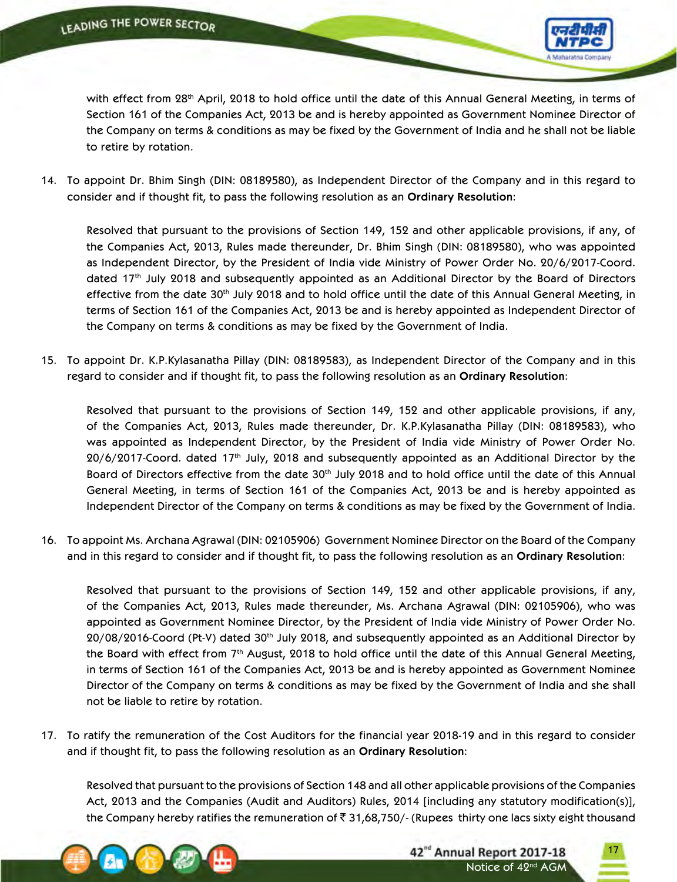

with effect from 28th April, 2018 to hold office until the date of this Annual General Meeting, in terms of Section 161 of the Companies Act, 2013 be and is hereby appointed as Government Nominee Director of the Company on terms & conditions as may be fixed by the Government of India and he shall not be liable to retire by rotation.

14. To appoint Dr. Bhim Singh (DIN: 08189580), as Independent Director of the Company and in this regard to consider and if thought fit, to pass the following resolution as an **Ordinary Resolution**:

 Resolved that pursuant to the provisions of Section 149, 152 and other applicable provisions, if any, of the Companies Act, 2013, Rules made thereunder, Dr. Bhim Singh (DIN: 08189580), who was appointed as Independent Director, by the President of India vide Ministry of Power Order No. 20/6/2017-Coord. dated 17<sup>th</sup> July 2018 and subsequently appointed as an Additional Director by the Board of Directors effective from the date 30<sup>th</sup> July 2018 and to hold office until the date of this Annual General Meeting, in terms of Section 161 of the Companies Act, 2013 be and is hereby appointed as Independent Director of the Company on terms & conditions as may be fixed by the Government of India.

15. To appoint Dr. K.P.Kylasanatha Pillay (DIN: 08189583), as Independent Director of the Company and in this regard to consider and if thought fit, to pass the following resolution as an **Ordinary Resolution**:

 Resolved that pursuant to the provisions of Section 149, 152 and other applicable provisions, if any, of the Companies Act, 2013, Rules made thereunder, Dr. K.P.Kylasanatha Pillay (DIN: 08189583), who was appointed as Independent Director, by the President of India vide Ministry of Power Order No. 20/6/2017-Coord. dated 17<sup>th</sup> July, 2018 and subsequently appointed as an Additional Director by the Board of Directors effective from the date 30<sup>th</sup> July 2018 and to hold office until the date of this Annual General Meeting, in terms of Section 161 of the Companies Act, 2013 be and is hereby appointed as Independent Director of the Company on terms & conditions as may be fixed by the Government of India.

16. To appoint Ms. Archana Agrawal (DIN: 02105906) Government Nominee Director on the Board of the Company and in this regard to consider and if thought fit, to pass the following resolution as an **Ordinary Resolution**:

 Resolved that pursuant to the provisions of Section 149, 152 and other applicable provisions, if any, of the Companies Act, 2013, Rules made thereunder, Ms. Archana Agrawal (DIN: 02105906), who was appointed as Government Nominee Director, by the President of India vide Ministry of Power Order No. 20/08/2016-Coord (Pt-V) dated 30th July 2018, and subsequently appointed as an Additional Director by the Board with effect from  $7<sup>th</sup>$  August, 2018 to hold office until the date of this Annual General Meeting, in terms of Section 161 of the Companies Act, 2013 be and is hereby appointed as Government Nominee Director of the Company on terms & conditions as may be fixed by the Government of India and she shall not be liable to retire by rotation.

17. To ratify the remuneration of the Cost Auditors for the financial year 2018-19 and in this regard to consider and if thought fit, to pass the following resolution as an **Ordinary Resolution**:

 Resolved that pursuant to the provisions of Section 148 and all other applicable provisions of the Companies Act, 2013 and the Companies (Audit and Auditors) Rules, 2014 [including any statutory modification(s)], the Company hereby ratifies the remuneration of  $\bar{\tau}$  31,68,750/- (Rupees thirty one lacs sixty eight thousand





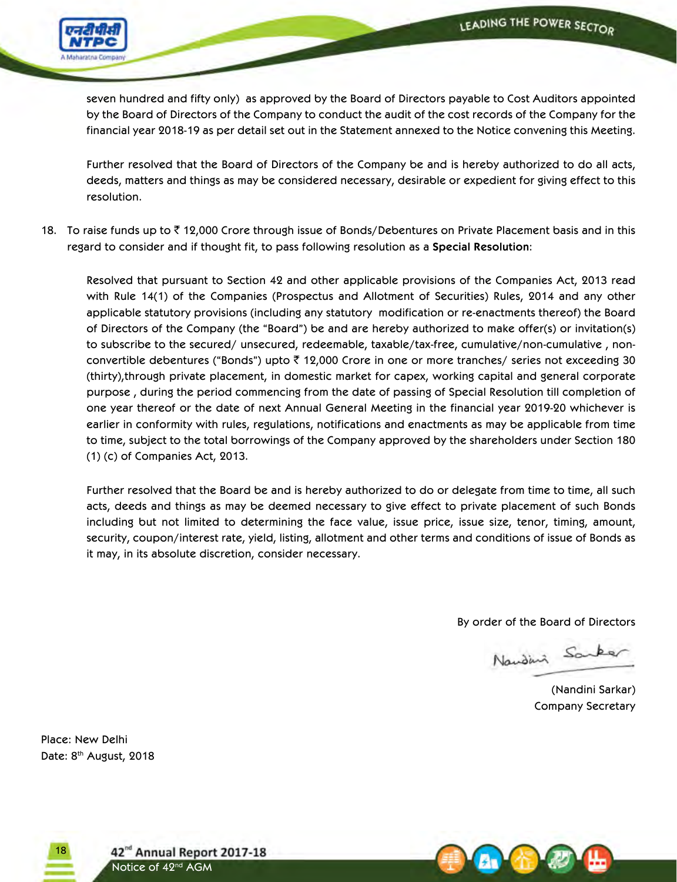

seven hundred and fifty only) as approved by the Board of Directors payable to Cost Auditors appointed by the Board of Directors of the Company to conduct the audit of the cost records of the Company for the financial year 2018-19 as per detail set out in the Statement annexed to the Notice convening this Meeting.

 Further resolved that the Board of Directors of the Company be and is hereby authorized to do all acts, deeds, matters and things as may be considered necessary, desirable or expedient for giving effect to this resolution.

18. To raise funds up to  $\bar{\tau}$  12,000 Crore through issue of Bonds/Debentures on Private Placement basis and in this regard to consider and if thought fit, to pass following resolution as a **Special Resolution**:

 Resolved that pursuant to Section 42 and other applicable provisions of the Companies Act, 2013 read with Rule 14(1) of the Companies (Prospectus and Allotment of Securities) Rules, 2014 and any other applicable statutory provisions (including any statutory modification or re-enactments thereof) the Board of Directors of the Company (the "Board") be and are hereby authorized to make offer(s) or invitation(s) to subscribe to the secured/ unsecured, redeemable, taxable/tax-free, cumulative/non-cumulative , nonconvertible debentures ("Bonds") upto  $\bar{\tau}$  12,000 Crore in one or more tranches/ series not exceeding 30 (thirty),through private placement, in domestic market for capex, working capital and general corporate purpose , during the period commencing from the date of passing of Special Resolution till completion of one year thereof or the date of next Annual General Meeting in the financial year 2019-20 whichever is earlier in conformity with rules, regulations, notifications and enactments as may be applicable from time to time, subject to the total borrowings of the Company approved by the shareholders under Section 180 (1) (c) of Companies Act, 2013.

 Further resolved that the Board be and is hereby authorized to do or delegate from time to time, all such acts, deeds and things as may be deemed necessary to give effect to private placement of such Bonds including but not limited to determining the face value, issue price, issue size, tenor, timing, amount, security, coupon/interest rate, yield, listing, allotment and other terms and conditions of issue of Bonds as it may, in its absolute discretion, consider necessary.

By order of the Board of Directors

Nander Sanker

 (Nandini Sarkar) Company Secretary

Place: New Delhi Date: 8<sup>th</sup> August, 2018



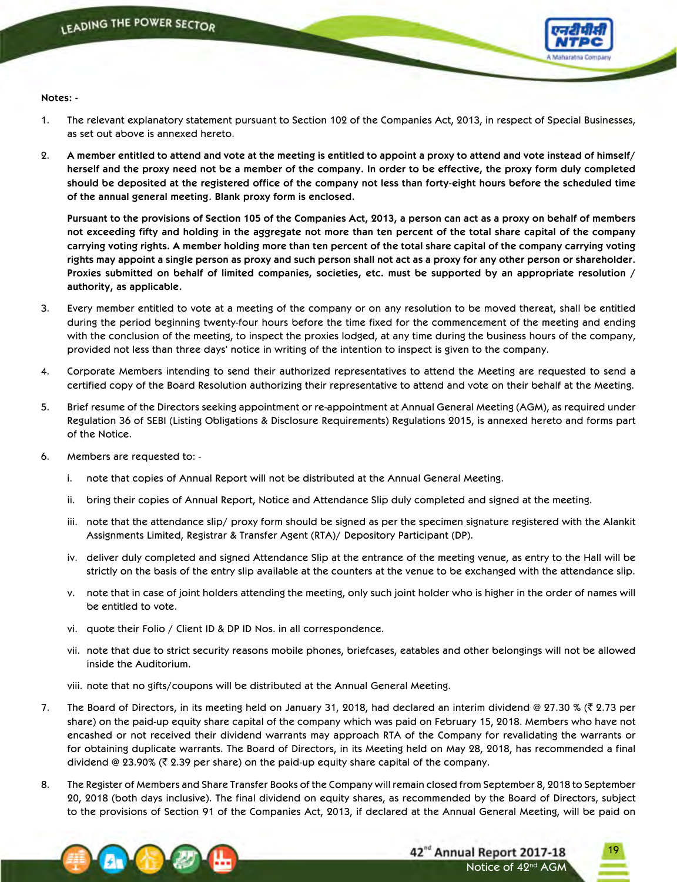

**Notes: -**

- 1. The relevant explanatory statement pursuant to Section 102 of the Companies Act, 2013, in respect of Special Businesses, as set out above is annexed hereto.
- 2. A member entitled to attend and vote at the meeting is entitled to appoint a proxy to attend and vote instead of himself/ herself and the proxy need not be a member of the company. In order to be effective, the proxy form duly completed should be deposited at the registered office of the company not less than forty-eight hours before the scheduled time **of the annual general meeting. Blank proxy form is enclosed.**

Pursuant to the provisions of Section 105 of the Companies Act, 2013, a person can act as a proxy on behalf of members not exceeding fifty and holding in the aggregate not more than ten percent of the total share capital of the company carrying voting rights. A member holding more than ten percent of the total share capital of the company carrying voting rights may appoint a single person as proxy and such person shall not act as a proxy for any other person or shareholder. Proxies submitted on behalf of limited companies, societies, etc. must be supported by an appropriate resolution / **authority, as applicable.**

- 3. Every member entitled to vote at a meeting of the company or on any resolution to be moved thereat, shall be entitled during the period beginning twenty-four hours before the time fixed for the commencement of the meeting and ending with the conclusion of the meeting, to inspect the proxies lodged, at any time during the business hours of the company, provided not less than three days' notice in writing of the intention to inspect is given to the company.
- 4. Corporate Members intending to send their authorized representatives to attend the Meeting are requested to send a certified copy of the Board Resolution authorizing their representative to attend and vote on their behalf at the Meeting.
- 5. Brief resume of the Directors seeking appointment or re-appointment at Annual General Meeting (AGM), as required under Regulation 36 of SEBI (Listing Obligations & Disclosure Requirements) Regulations 2015, is annexed hereto and forms part of the Notice.
- 6. Members are requested to:
	- i. note that copies of Annual Report will not be distributed at the Annual General Meeting.
	- ii. bring their copies of Annual Report, Notice and Attendance Slip duly completed and signed at the meeting.
	- iii. note that the attendance slip/ proxy form should be signed as per the specimen signature registered with the Alankit Assignments Limited, Registrar & Transfer Agent (RTA)/ Depository Participant (DP).
	- iv. deliver duly completed and signed Attendance Slip at the entrance of the meeting venue, as entry to the Hall will be strictly on the basis of the entry slip available at the counters at the venue to be exchanged with the attendance slip.
	- v. note that in case of joint holders attending the meeting, only such joint holder who is higher in the order of names will be entitled to vote.
	- vi. quote their Folio / Client ID & DP ID Nos. in all correspondence.
	- vii. note that due to strict security reasons mobile phones, briefcases, eatables and other belongings will not be allowed inside the Auditorium.
	- viii. note that no gifts/coupons will be distributed at the Annual General Meeting.
- 7. The Board of Directors, in its meeting held on January 31, 2018, had declared an interim dividend @ 27.30 % ( $\bar{\tau}$  2.73 per share) on the paid-up equity share capital of the company which was paid on February 15, 2018. Members who have not encashed or not received their dividend warrants may approach RTA of the Company for revalidating the warrants or for obtaining duplicate warrants. The Board of Directors, in its Meeting held on May 28, 2018, has recommended a final dividend @ 23.90% ( $\bar{\tau}$  2.39 per share) on the paid-up equity share capital of the company.
- 8. The Register of Members and Share Transfer Books of the Company will remain closed from September 8, 2018 to September 20, 2018 (both days inclusive). The final dividend on equity shares, as recommended by the Board of Directors, subject to the provisions of Section 91 of the Companies Act, 2013, if declared at the Annual General Meeting, will be paid on

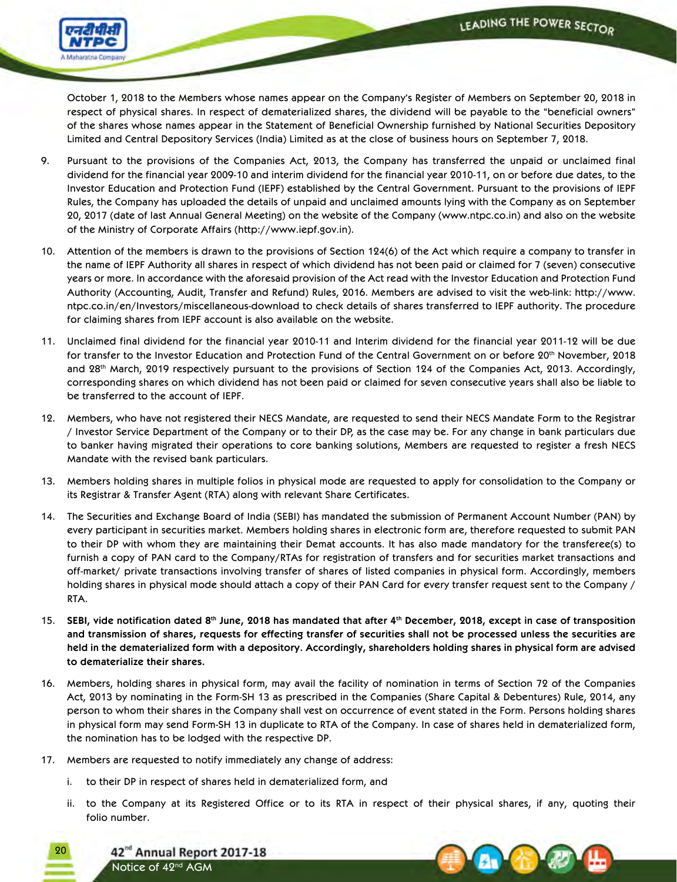

October 1, 2018 to the Members whose names appear on the Company's Register of Members on September 20, 2018 in respect of physical shares. In respect of dematerialized shares, the dividend will be payable to the "beneficial owners" of the shares whose names appear in the Statement of Beneficial Ownership furnished by National Securities Depository Limited and Central Depository Services (India) Limited as at the close of business hours on September 7, 2018.

- 9. Pursuant to the provisions of the Companies Act, 2013, the Company has transferred the unpaid or unclaimed final dividend for the financial year 2009-10 and interim dividend for the financial year 2010-11, on or before due dates, to the Investor Education and Protection Fund (IEPF) established by the Central Government. Pursuant to the provisions of IEPF Rules, the Company has uploaded the details of unpaid and unclaimed amounts lying with the Company as on September 20, 2017 (date of last Annual General Meeting) on the website of the Company (www.ntpc.co.in) and also on the website of the Ministry of Corporate Affairs (http://www.iepf.gov.in).
- 10. Attention of the members is drawn to the provisions of Section 124(6) of the Act which require a company to transfer in the name of IEPF Authority all shares in respect of which dividend has not been paid or claimed for 7 (seven) consecutive years or more. In accordance with the aforesaid provision of the Act read with the Investor Education and Protection Fund Authority (Accounting, Audit, Transfer and Refund) Rules, 2016. Members are advised to visit the web-link: http://www. ntpc.co.in/en/Investors/miscellaneous-download to check details of shares transferred to IEPF authority. The procedure for claiming shares from IEPF account is also available on the website.
- 11. Unclaimed final dividend for the financial year 2010-11 and Interim dividend for the financial year 2011-12 will be due for transfer to the Investor Education and Protection Fund of the Central Government on or before 20th November, 2018 and 28th March, 2019 respectively pursuant to the provisions of Section 124 of the Companies Act, 2013. Accordingly, corresponding shares on which dividend has not been paid or claimed for seven consecutive years shall also be liable to be transferred to the account of IEPF.
- 12. Members, who have not registered their NECS Mandate, are requested to send their NECS Mandate Form to the Registrar / Investor Service Department of the Company or to their DP, as the case may be. For any change in bank particulars due to banker having migrated their operations to core banking solutions, Members are requested to register a fresh NECS Mandate with the revised bank particulars.
- 13. Members holding shares in multiple folios in physical mode are requested to apply for consolidation to the Company or its Registrar & Transfer Agent (RTA) along with relevant Share Certificates.
- 14. The Securities and Exchange Board of India (SEBI) has mandated the submission of Permanent Account Number (PAN) by every participant in securities market. Members holding shares in electronic form are, therefore requested to submit PAN to their DP with whom they are maintaining their Demat accounts. It has also made mandatory for the transferee(s) to furnish a copy of PAN card to the Company/RTAs for registration of transfers and for securities market transactions and off-market/ private transactions involving transfer of shares of listed companies in physical form. Accordingly, members holding shares in physical mode should attach a copy of their PAN Card for every transfer request sent to the Company / RTA.
- 15. SEBI, vide notification dated 8<sup>th</sup> June, 2018 has mandated that after 4<sup>th</sup> December, 2018, except in case of transposition and transmission of shares, requests for effecting transfer of securities shall not be processed unless the securities are held in the dematerialized form with a depository. Accordingly, shareholders holding shares in physical form are advised **to dematerialize their shares.**
- 16. Members, holding shares in physical form, may avail the facility of nomination in terms of Section 72 of the Companies Act, 2013 by nominating in the Form-SH 13 as prescribed in the Companies (Share Capital & Debentures) Rule, 2014, any person to whom their shares in the Company shall vest on occurrence of event stated in the Form. Persons holding shares in physical form may send Form-SH 13 in duplicate to RTA of the Company. In case of shares held in dematerialized form, the nomination has to be lodged with the respective DP.
- 17. Members are requested to notify immediately any change of address:
	- i. to their DP in respect of shares held in dematerialized form, and
	- ii. to the Company at its Registered Office or to its RTA in respect of their physical shares, if any, quoting their folio number.

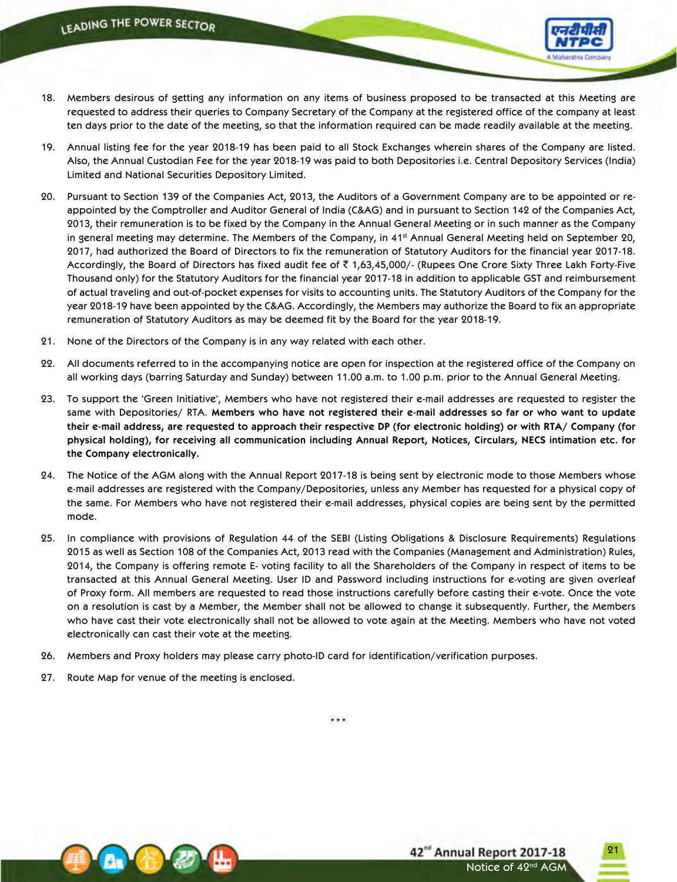

- 18. Members desirous of getting any information on any items of business proposed to be transacted at this Meeting are requested to address their queries to Company Secretary of the Company at the registered office of the company at least ten days prior to the date of the meeting, so that the information required can be made readily available at the meeting.
- 19. Annual listing fee for the year 2018-19 has been paid to all Stock Exchanges wherein shares of the Company are listed. Also, the Annual Custodian Fee for the year 2018-19 was paid to both Depositories i.e. Central Depository Services (India) Limited and National Securities Depository Limited.
- 20. Pursuant to Section 139 of the Companies Act, 2013, the Auditors of a Government Company are to be appointed or reappointed by the Comptroller and Auditor General of India (C&AG) and in pursuant to Section 142 of the Companies Act, 2013, their remuneration is to be fixed by the Company in the Annual General Meeting or in such manner as the Company in general meeting may determine. The Members of the Company, in 41<sup>st</sup> Annual General Meeting held on September 20, 2017, had authorized the Board of Directors to fix the remuneration of Statutory Auditors for the financial year 2017-18. Accordingly, the Board of Directors has fixed audit fee of  $\bar{c}$  1,63,45,000/- (Rupees One Crore Sixty Three Lakh Forty-Five Thousand only) for the Statutory Auditors for the financial year 2017-18 in addition to applicable GST and reimbursement of actual traveling and out-of-pocket expenses for visits to accounting units. The Statutory Auditors of the Company for the year 2018-19 have been appointed by the C&AG. Accordingly, the Members may authorize the Board to fix an appropriate remuneration of Statutory Auditors as may be deemed fit by the Board for the year 2018-19.
- 21. None of the Directors of the Company is in any way related with each other.
- 22. All documents referred to in the accompanying notice are open for inspection at the registered office of the Company on all working days (barring Saturday and Sunday) between 11.00 a.m. to 1.00 p.m. prior to the Annual General Meeting.
- 23. To support the 'Green Initiative', Members who have not registered their e‑mail addresses are requested to register the same with Depositories/ RTA. **Members who have not registered their e-mail addresses so far or who want to update** their e-mail address, are requested to approach their respective DP (for electronic holding) or with RTA/ Company (for physical holding), for receiving all communication including Annual Report, Notices, Circulars, NECS intimation etc. for **the Company electronically.**
- 24. The Notice of the AGM along with the Annual Report 2017-18 is being sent by electronic mode to those Members whose e-mail addresses are registered with the Company/Depositories, unless any Member has requested for a physical copy of the same. For Members who have not registered their e-mail addresses, physical copies are being sent by the permitted mode.
- 25. In compliance with provisions of Regulation 44 of the SEBI (Listing Obligations & Disclosure Requirements) Regulations 2015 as well as Section 108 of the Companies Act, 2013 read with the Companies (Management and Administration) Rules, 2014, the Company is offering remote E- voting facility to all the Shareholders of the Company in respect of items to be transacted at this Annual General Meeting. User ID and Password including instructions for e-voting are given overleaf of Proxy form. All members are requested to read those instructions carefully before casting their e-vote. Once the vote on a resolution is cast by a Member, the Member shall not be allowed to change it subsequently. Further, the Members who have cast their vote electronically shall not be allowed to vote again at the Meeting. Members who have not voted electronically can cast their vote at the meeting.

\*\*\*

- 26. Members and Proxy holders may please carry photo-ID card for identification/verification purposes.
- 27. Route Map for venue of the meeting is enclosed.

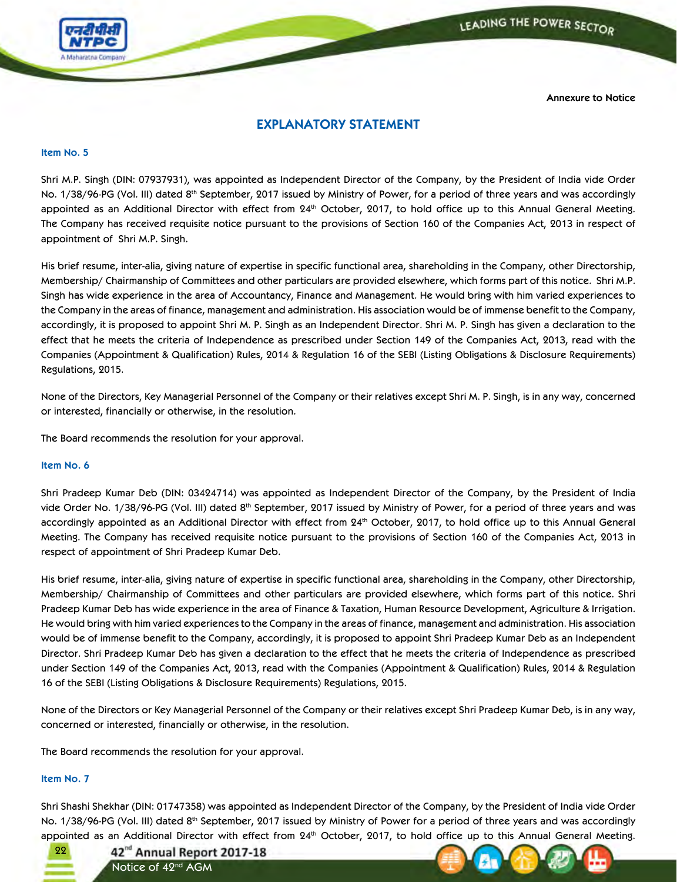



**Annexure to Notice**

## **EXPLANATORY STATEMENT**

#### **Item No. 5**

Shri M.P. Singh (DIN: 07937931), was appointed as Independent Director of the Company, by the President of India vide Order No. 1/38/96-PG (Vol. III) dated 8<sup>th</sup> September, 2017 issued by Ministry of Power, for a period of three years and was accordingly appointed as an Additional Director with effect from 24<sup>th</sup> October, 2017, to hold office up to this Annual General Meeting. The Company has received requisite notice pursuant to the provisions of Section 160 of the Companies Act, 2013 in respect of appointment of Shri M.P. Singh.

His brief resume, inter-alia, giving nature of expertise in specific functional area, shareholding in the Company, other Directorship, Membership/ Chairmanship of Committees and other particulars are provided elsewhere, which forms part of this notice. Shri M.P. Singh has wide experience in the area of Accountancy, Finance and Management. He would bring with him varied experiences to the Company in the areas of finance, management and administration. His association would be of immense benefit to the Company, accordingly, it is proposed to appoint Shri M. P. Singh as an Independent Director. Shri M. P. Singh has given a declaration to the effect that he meets the criteria of Independence as prescribed under Section 149 of the Companies Act, 2013, read with the Companies (Appointment & Qualification) Rules, 2014 & Regulation 16 of the SEBI (Listing Obligations & Disclosure Requirements) Regulations, 2015.

None of the Directors, Key Managerial Personnel of the Company or their relatives except Shri M. P. Singh, is in any way, concerned or interested, financially or otherwise, in the resolution.

The Board recommends the resolution for your approval.

#### **Item No. 6**

Shri Pradeep Kumar Deb (DIN: 03424714) was appointed as Independent Director of the Company, by the President of India vide Order No. 1/38/96-PG (Vol. III) dated 8<sup>th</sup> September, 2017 issued by Ministry of Power, for a period of three years and was accordingly appointed as an Additional Director with effect from 24th October, 2017, to hold office up to this Annual General Meeting. The Company has received requisite notice pursuant to the provisions of Section 160 of the Companies Act, 2013 in respect of appointment of Shri Pradeep Kumar Deb.

His brief resume, inter-alia, giving nature of expertise in specific functional area, shareholding in the Company, other Directorship, Membership/ Chairmanship of Committees and other particulars are provided elsewhere, which forms part of this notice. Shri Pradeep Kumar Deb has wide experience in the area of Finance & Taxation, Human Resource Development, Agriculture & Irrigation. He would bring with him varied experiences to the Company in the areas of finance, management and administration. His association would be of immense benefit to the Company, accordingly, it is proposed to appoint Shri Pradeep Kumar Deb as an Independent Director. Shri Pradeep Kumar Deb has given a declaration to the effect that he meets the criteria of Independence as prescribed under Section 149 of the Companies Act, 2013, read with the Companies (Appointment & Qualification) Rules, 2014 & Regulation 16 of the SEBI (Listing Obligations & Disclosure Requirements) Regulations, 2015.

None of the Directors or Key Managerial Personnel of the Company or their relatives except Shri Pradeep Kumar Deb, is in any way, concerned or interested, financially or otherwise, in the resolution.

The Board recommends the resolution for your approval.

### **Item No. 7**

Shri Shashi Shekhar (DIN: 01747358) was appointed as Independent Director of the Company, by the President of India vide Order No. 1/38/96-PG (Vol. III) dated 8<sup>th</sup> September, 2017 issued by Ministry of Power for a period of three years and was accordingly appointed as an Additional Director with effect from 24<sup>th</sup> October, 2017, to hold office up to this Annual General Meeting.

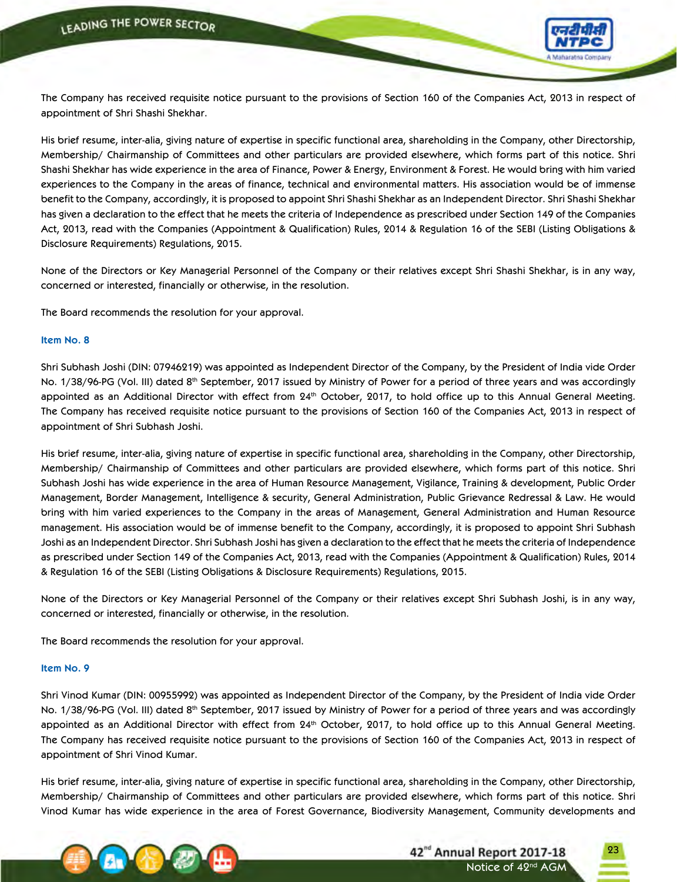

The Company has received requisite notice pursuant to the provisions of Section 160 of the Companies Act, 2013 in respect of appointment of Shri Shashi Shekhar.

His brief resume, inter-alia, giving nature of expertise in specific functional area, shareholding in the Company, other Directorship, Membership/ Chairmanship of Committees and other particulars are provided elsewhere, which forms part of this notice. Shri Shashi Shekhar has wide experience in the area of Finance, Power & Energy, Environment & Forest. He would bring with him varied experiences to the Company in the areas of finance, technical and environmental matters. His association would be of immense benefit to the Company, accordingly, it is proposed to appoint Shri Shashi Shekhar as an Independent Director. Shri Shashi Shekhar has given a declaration to the effect that he meets the criteria of Independence as prescribed under Section 149 of the Companies Act, 2013, read with the Companies (Appointment & Qualification) Rules, 2014 & Regulation 16 of the SEBI (Listing Obligations & Disclosure Requirements) Regulations, 2015.

None of the Directors or Key Managerial Personnel of the Company or their relatives except Shri Shashi Shekhar, is in any way, concerned or interested, financially or otherwise, in the resolution.

The Board recommends the resolution for your approval.

#### **Item No. 8**

Shri Subhash Joshi (DIN: 07946219) was appointed as Independent Director of the Company, by the President of India vide Order No. 1/38/96-PG (Vol. III) dated 8<sup>th</sup> September, 2017 issued by Ministry of Power for a period of three years and was accordingly appointed as an Additional Director with effect from 24<sup>th</sup> October, 2017, to hold office up to this Annual General Meeting. The Company has received requisite notice pursuant to the provisions of Section 160 of the Companies Act, 2013 in respect of appointment of Shri Subhash Joshi.

His brief resume, inter-alia, giving nature of expertise in specific functional area, shareholding in the Company, other Directorship, Membership/ Chairmanship of Committees and other particulars are provided elsewhere, which forms part of this notice. Shri Subhash Joshi has wide experience in the area of Human Resource Management, Vigilance, Training & development, Public Order Management, Border Management, Intelligence & security, General Administration, Public Grievance Redressal & Law. He would bring with him varied experiences to the Company in the areas of Management, General Administration and Human Resource management. His association would be of immense benefit to the Company, accordingly, it is proposed to appoint Shri Subhash Joshi as an Independent Director. Shri Subhash Joshi has given a declaration to the effect that he meets the criteria of Independence as prescribed under Section 149 of the Companies Act, 2013, read with the Companies (Appointment & Qualification) Rules, 2014 & Regulation 16 of the SEBI (Listing Obligations & Disclosure Requirements) Regulations, 2015.

None of the Directors or Key Managerial Personnel of the Company or their relatives except Shri Subhash Joshi, is in any way, concerned or interested, financially or otherwise, in the resolution.

The Board recommends the resolution for your approval.

#### **Item No. 9**

Shri Vinod Kumar (DIN: 00955992) was appointed as Independent Director of the Company, by the President of India vide Order No. 1/38/96-PG (Vol. III) dated 8<sup>th</sup> September, 2017 issued by Ministry of Power for a period of three years and was accordingly appointed as an Additional Director with effect from 24<sup>th</sup> October, 2017, to hold office up to this Annual General Meeting. The Company has received requisite notice pursuant to the provisions of Section 160 of the Companies Act, 2013 in respect of appointment of Shri Vinod Kumar.

His brief resume, inter-alia, giving nature of expertise in specific functional area, shareholding in the Company, other Directorship, Membership/ Chairmanship of Committees and other particulars are provided elsewhere, which forms part of this notice. Shri Vinod Kumar has wide experience in the area of Forest Governance, Biodiversity Management, Community developments and

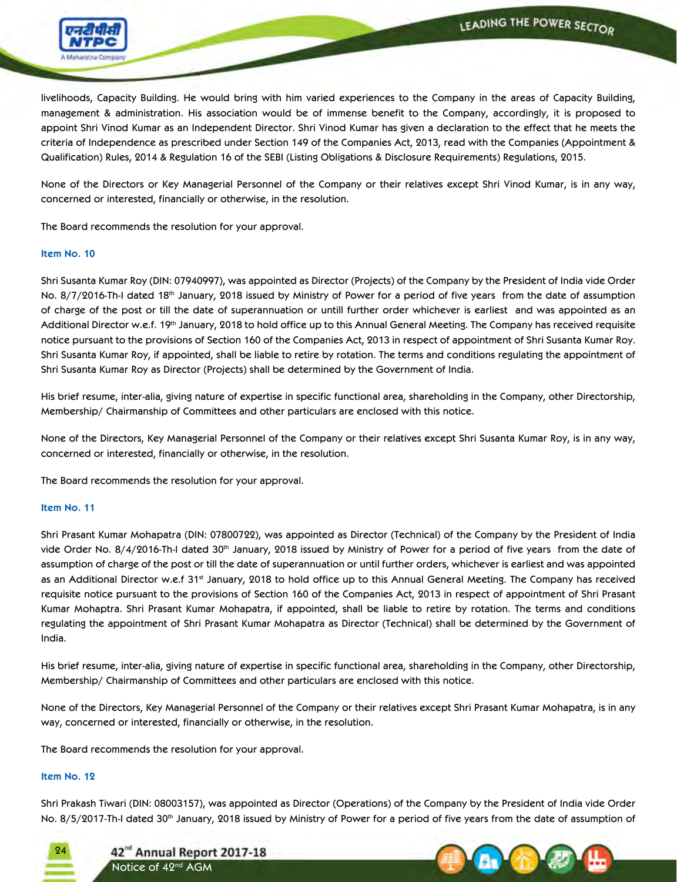

livelihoods, Capacity Building. He would bring with him varied experiences to the Company in the areas of Capacity Building, management & administration. His association would be of immense benefit to the Company, accordingly, it is proposed to appoint Shri Vinod Kumar as an Independent Director. Shri Vinod Kumar has given a declaration to the effect that he meets the criteria of Independence as prescribed under Section 149 of the Companies Act, 2013, read with the Companies (Appointment & Qualification) Rules, 2014 & Regulation 16 of the SEBI (Listing Obligations & Disclosure Requirements) Regulations, 2015.

None of the Directors or Key Managerial Personnel of the Company or their relatives except Shri Vinod Kumar, is in any way, concerned or interested, financially or otherwise, in the resolution.

The Board recommends the resolution for your approval.

#### **Item No. 10**

Shri Susanta Kumar Roy (DIN: 07940997), was appointed as Director (Projects) of the Company by the President of India vide Order No. 8/7/2016-Th-I dated 18th January, 2018 issued by Ministry of Power for a period of five years from the date of assumption of charge of the post or till the date of superannuation or untill further order whichever is earliest and was appointed as an Additional Director w.e.f. 19th January, 2018 to hold office up to this Annual General Meeting. The Company has received requisite notice pursuant to the provisions of Section 160 of the Companies Act, 2013 in respect of appointment of Shri Susanta Kumar Roy. Shri Susanta Kumar Roy, if appointed, shall be liable to retire by rotation. The terms and conditions regulating the appointment of Shri Susanta Kumar Roy as Director (Projects) shall be determined by the Government of India.

His brief resume, inter-alia, giving nature of expertise in specific functional area, shareholding in the Company, other Directorship, Membership/ Chairmanship of Committees and other particulars are enclosed with this notice.

None of the Directors, Key Managerial Personnel of the Company or their relatives except Shri Susanta Kumar Roy, is in any way, concerned or interested, financially or otherwise, in the resolution.

The Board recommends the resolution for your approval.

#### **Item No. 11**

Shri Prasant Kumar Mohapatra (DIN: 07800722), was appointed as Director (Technical) of the Company by the President of India vide Order No. 8/4/2016-Th-I dated 30<sup>th</sup> January, 2018 issued by Ministry of Power for a period of five years from the date of assumption of charge of the post or till the date of superannuation or until further orders, whichever is earliest and was appointed as an Additional Director w.e.f 31<sup>st</sup> January, 2018 to hold office up to this Annual General Meeting. The Company has received requisite notice pursuant to the provisions of Section 160 of the Companies Act, 2013 in respect of appointment of Shri Prasant Kumar Mohaptra. Shri Prasant Kumar Mohapatra, if appointed, shall be liable to retire by rotation. The terms and conditions regulating the appointment of Shri Prasant Kumar Mohapatra as Director (Technical) shall be determined by the Government of India.

His brief resume, inter-alia, giving nature of expertise in specific functional area, shareholding in the Company, other Directorship, Membership/ Chairmanship of Committees and other particulars are enclosed with this notice.

None of the Directors, Key Managerial Personnel of the Company or their relatives except Shri Prasant Kumar Mohapatra, is in any way, concerned or interested, financially or otherwise, in the resolution.

The Board recommends the resolution for your approval.

#### **Item No. 12**

Shri Prakash Tiwari (DIN: 08003157), was appointed as Director (Operations) of the Company by the President of India vide Order No. 8/5/2017-Th-I dated 30<sup>th</sup> January, 2018 issued by Ministry of Power for a period of five years from the date of assumption of



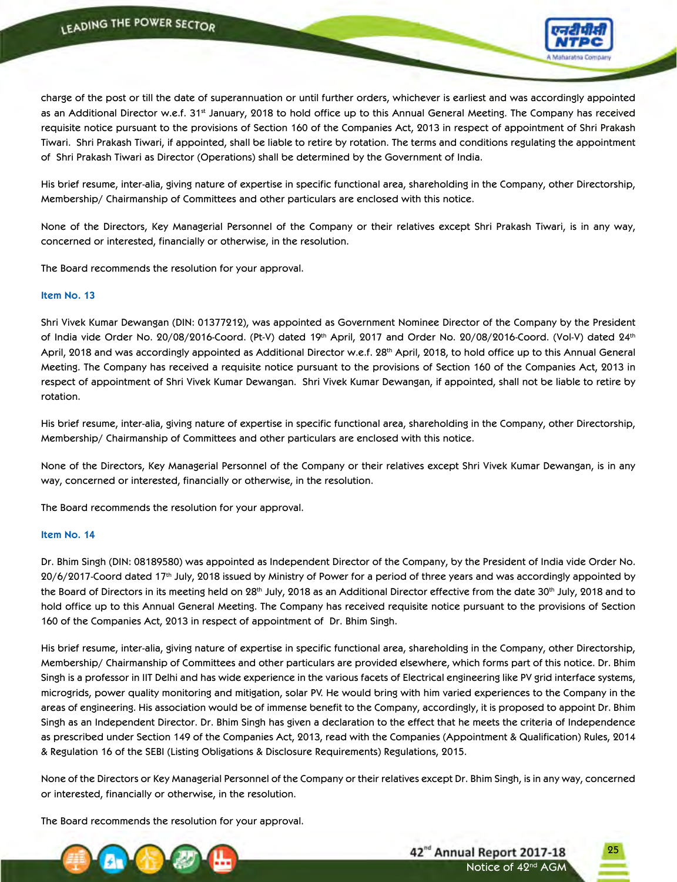

charge of the post or till the date of superannuation or until further orders, whichever is earliest and was accordingly appointed as an Additional Director w.e.f. 31<sup>st</sup> January, 2018 to hold office up to this Annual General Meeting. The Company has received requisite notice pursuant to the provisions of Section 160 of the Companies Act, 2013 in respect of appointment of Shri Prakash Tiwari. Shri Prakash Tiwari, if appointed, shall be liable to retire by rotation. The terms and conditions regulating the appointment of Shri Prakash Tiwari as Director (Operations) shall be determined by the Government of India.

His brief resume, inter-alia, giving nature of expertise in specific functional area, shareholding in the Company, other Directorship, Membership/ Chairmanship of Committees and other particulars are enclosed with this notice.

None of the Directors, Key Managerial Personnel of the Company or their relatives except Shri Prakash Tiwari, is in any way, concerned or interested, financially or otherwise, in the resolution.

The Board recommends the resolution for your approval.

#### **Item No. 13**

Shri Vivek Kumar Dewangan (DIN: 01377212), was appointed as Government Nominee Director of the Company by the President of India vide Order No. 20/08/2016-Coord. (Pt-V) dated 19th April, 2017 and Order No. 20/08/2016-Coord. (Vol-V) dated 24th April, 2018 and was accordingly appointed as Additional Director w.e.f. 28<sup>th</sup> April, 2018, to hold office up to this Annual General Meeting. The Company has received a requisite notice pursuant to the provisions of Section 160 of the Companies Act, 2013 in respect of appointment of Shri Vivek Kumar Dewangan. Shri Vivek Kumar Dewangan, if appointed, shall not be liable to retire by rotation.

His brief resume, inter-alia, giving nature of expertise in specific functional area, shareholding in the Company, other Directorship, Membership/ Chairmanship of Committees and other particulars are enclosed with this notice.

None of the Directors, Key Managerial Personnel of the Company or their relatives except Shri Vivek Kumar Dewangan, is in any way, concerned or interested, financially or otherwise, in the resolution.

The Board recommends the resolution for your approval.

#### **Item No. 14**

Dr. Bhim Singh (DIN: 08189580) was appointed as Independent Director of the Company, by the President of India vide Order No. 20/6/2017-Coord dated 17th July, 2018 issued by Ministry of Power for a period of three years and was accordingly appointed by the Board of Directors in its meeting held on 28<sup>th</sup> July, 2018 as an Additional Director effective from the date 30<sup>th</sup> July, 2018 and to hold office up to this Annual General Meeting. The Company has received requisite notice pursuant to the provisions of Section 160 of the Companies Act, 2013 in respect of appointment of Dr. Bhim Singh.

His brief resume, inter-alia, giving nature of expertise in specific functional area, shareholding in the Company, other Directorship, Membership/ Chairmanship of Committees and other particulars are provided elsewhere, which forms part of this notice. Dr. Bhim Singh is a professor in IIT Delhi and has wide experience in the various facets of Electrical engineering like PV grid interface systems, microgrids, power quality monitoring and mitigation, solar PV. He would bring with him varied experiences to the Company in the areas of engineering. His association would be of immense benefit to the Company, accordingly, it is proposed to appoint Dr. Bhim Singh as an Independent Director. Dr. Bhim Singh has given a declaration to the effect that he meets the criteria of Independence as prescribed under Section 149 of the Companies Act, 2013, read with the Companies (Appointment & Qualification) Rules, 2014 & Regulation 16 of the SEBI (Listing Obligations & Disclosure Requirements) Regulations, 2015.

None of the Directors or Key Managerial Personnel of the Company or their relatives except Dr. Bhim Singh, is in any way, concerned or interested, financially or otherwise, in the resolution.

The Board recommends the resolution for your approval.



42<sup>nd</sup> Annual Report 2017-18 Notice of 42<sup>nd</sup> AGM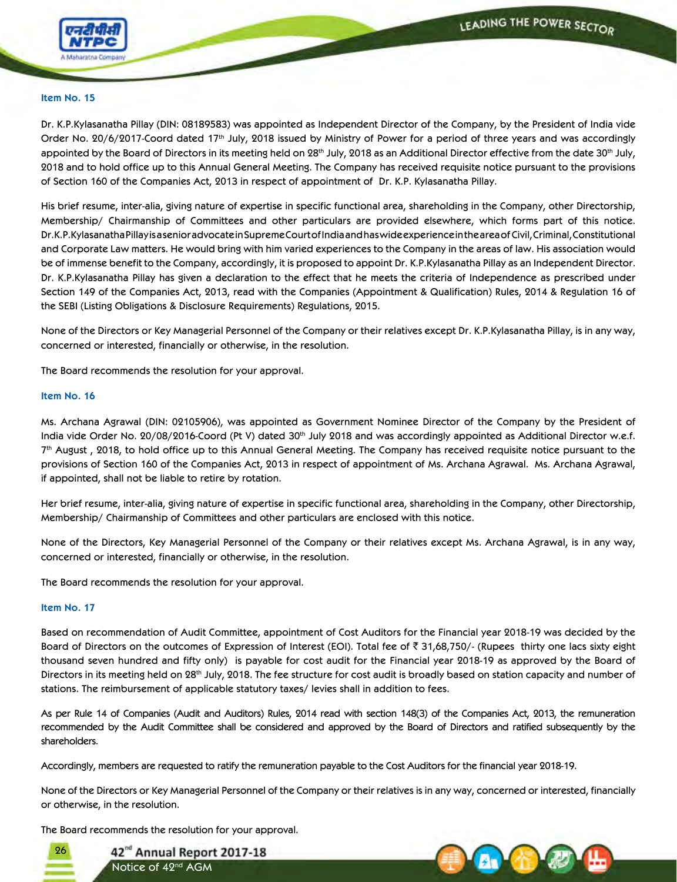

#### **Item No. 15**

Dr. K.P.Kylasanatha Pillay (DIN: 08189583) was appointed as Independent Director of the Company, by the President of India vide Order No. 20/6/2017-Coord dated 17th July, 2018 issued by Ministry of Power for a period of three years and was accordingly appointed by the Board of Directors in its meeting held on 28<sup>th</sup> July, 2018 as an Additional Director effective from the date 30<sup>th</sup> July, 2018 and to hold office up to this Annual General Meeting. The Company has received requisite notice pursuant to the provisions of Section 160 of the Companies Act, 2013 in respect of appointment of Dr. K.P. Kylasanatha Pillay.

His brief resume, inter-alia, giving nature of expertise in specific functional area, shareholding in the Company, other Directorship, Membership/ Chairmanship of Committees and other particulars are provided elsewhere, which forms part of this notice. Dr.K.P.Kylasanatha Pillay is a senior advocate in Supreme Court of India and has wide experience in the area of Civil, Criminal, Constitutional and Corporate Law matters. He would bring with him varied experiences to the Company in the areas of law. His association would be of immense benefit to the Company, accordingly, it is proposed to appoint Dr. K.P.Kylasanatha Pillay as an Independent Director. Dr. K.P.Kylasanatha Pillay has given a declaration to the effect that he meets the criteria of Independence as prescribed under Section 149 of the Companies Act, 2013, read with the Companies (Appointment & Qualification) Rules, 2014 & Regulation 16 of the SEBI (Listing Obligations & Disclosure Requirements) Regulations, 2015.

None of the Directors or Key Managerial Personnel of the Company or their relatives except Dr. K.P.Kylasanatha Pillay, is in any way, concerned or interested, financially or otherwise, in the resolution.

The Board recommends the resolution for your approval.

#### **Item No. 16**

Ms. Archana Agrawal (DIN: 02105906), was appointed as Government Nominee Director of the Company by the President of India vide Order No. 20/08/2016-Coord (Pt V) dated 30<sup>th</sup> July 2018 and was accordingly appointed as Additional Director w.e.f.  $7<sup>th</sup>$  August, 2018, to hold office up to this Annual General Meeting. The Company has received requisite notice pursuant to the provisions of Section 160 of the Companies Act, 2013 in respect of appointment of Ms. Archana Agrawal. Ms. Archana Agrawal, if appointed, shall not be liable to retire by rotation.

Her brief resume, inter-alia, giving nature of expertise in specific functional area, shareholding in the Company, other Directorship, Membership/ Chairmanship of Committees and other particulars are enclosed with this notice.

None of the Directors, Key Managerial Personnel of the Company or their relatives except Ms. Archana Agrawal, is in any way, concerned or interested, financially or otherwise, in the resolution.

The Board recommends the resolution for your approval.

#### **Item No. 17**

Based on recommendation of Audit Committee, appointment of Cost Auditors for the Financial year 2018-19 was decided by the Board of Directors on the outcomes of Expression of Interest (EOI). Total fee of  $\bar{\xi}$  31,68,750/- (Rupees thirty one lacs sixty eight thousand seven hundred and fifty only) is payable for cost audit for the Financial year 2018-19 as approved by the Board of Directors in its meeting held on 28<sup>th</sup> July, 2018. The fee structure for cost audit is broadly based on station capacity and number of stations. The reimbursement of applicable statutory taxes/ levies shall in addition to fees.

As per Rule 14 of Companies (Audit and Auditors) Rules, 2014 read with section 148(3) of the Companies Act, 2013, the remuneration recommended by the Audit Committee shall be considered and approved by the Board of Directors and ratified subsequently by the shareholders.

Accordingly, members are requested to ratify the remuneration payable to the Cost Auditors for the financial year 2018-19.

None of the Directors or Key Managerial Personnel of the Company or their relatives is in any way, concerned or interested, financially or otherwise, in the resolution.

The Board recommends the resolution for your approval.



42<sup>nd</sup> Annual Report 2017-18 Notice of 42<sup>nd</sup> AGM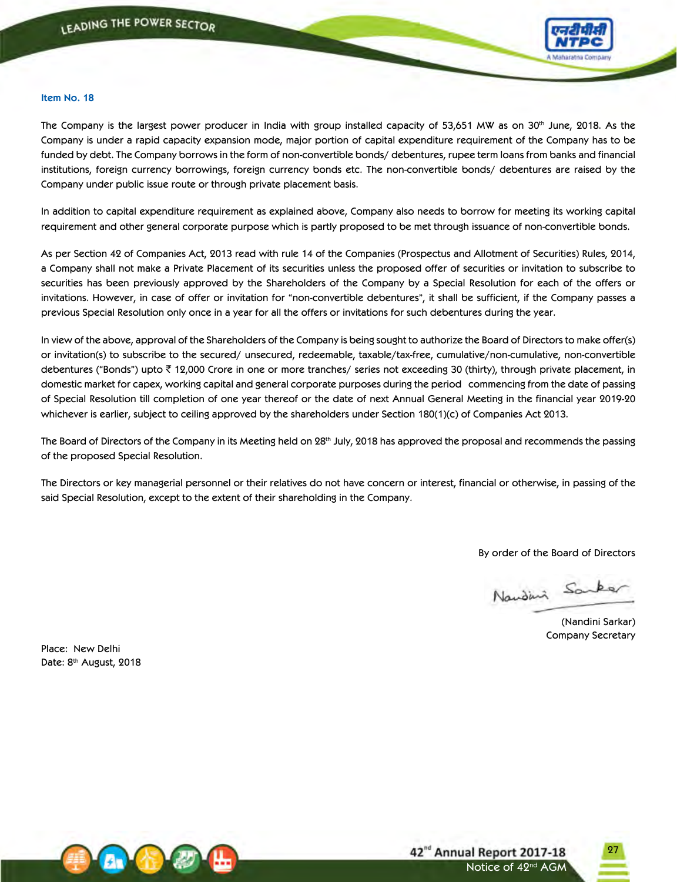

#### **Item No. 18**

The Company is the largest power producer in India with group installed capacity of 53,651 MW as on  $30<sup>th</sup>$  June, 2018. As the Company is under a rapid capacity expansion mode, major portion of capital expenditure requirement of the Company has to be funded by debt. The Company borrows in the form of non-convertible bonds/ debentures, rupee term loans from banks and financial institutions, foreign currency borrowings, foreign currency bonds etc. The non-convertible bonds/ debentures are raised by the Company under public issue route or through private placement basis.

In addition to capital expenditure requirement as explained above, Company also needs to borrow for meeting its working capital requirement and other general corporate purpose which is partly proposed to be met through issuance of non-convertible bonds.

As per Section 42 of Companies Act, 2013 read with rule 14 of the Companies (Prospectus and Allotment of Securities) Rules, 2014, a Company shall not make a Private Placement of its securities unless the proposed offer of securities or invitation to subscribe to securities has been previously approved by the Shareholders of the Company by a Special Resolution for each of the offers or invitations. However, in case of offer or invitation for "non-convertible debentures", it shall be sufficient, if the Company passes a previous Special Resolution only once in a year for all the offers or invitations for such debentures during the year.

In view of the above, approval of the Shareholders of the Company is being sought to authorize the Board of Directors to make offer(s) or invitation(s) to subscribe to the secured/ unsecured, redeemable, taxable/tax-free, cumulative/non-cumulative, non-convertible debentures ("Bonds") upto  $\bar{\tau}$  12,000 Crore in one or more tranches/ series not exceeding 30 (thirty), through private placement, in domestic market for capex, working capital and general corporate purposes during the period commencing from the date of passing of Special Resolution till completion of one year thereof or the date of next Annual General Meeting in the financial year 2019-20 whichever is earlier, subject to ceiling approved by the shareholders under Section 180(1)(c) of Companies Act 2013.

The Board of Directors of the Company in its Meeting held on 28<sup>th</sup> July, 2018 has approved the proposal and recommends the passing of the proposed Special Resolution.

The Directors or key managerial personnel or their relatives do not have concern or interest, financial or otherwise, in passing of the said Special Resolution, except to the extent of their shareholding in the Company.

By order of the Board of Directors

Naudini Sanker

(Nandini Sarkar) Company Secretary

27

Place: New Delhi Date: 8<sup>th</sup> August, 2018



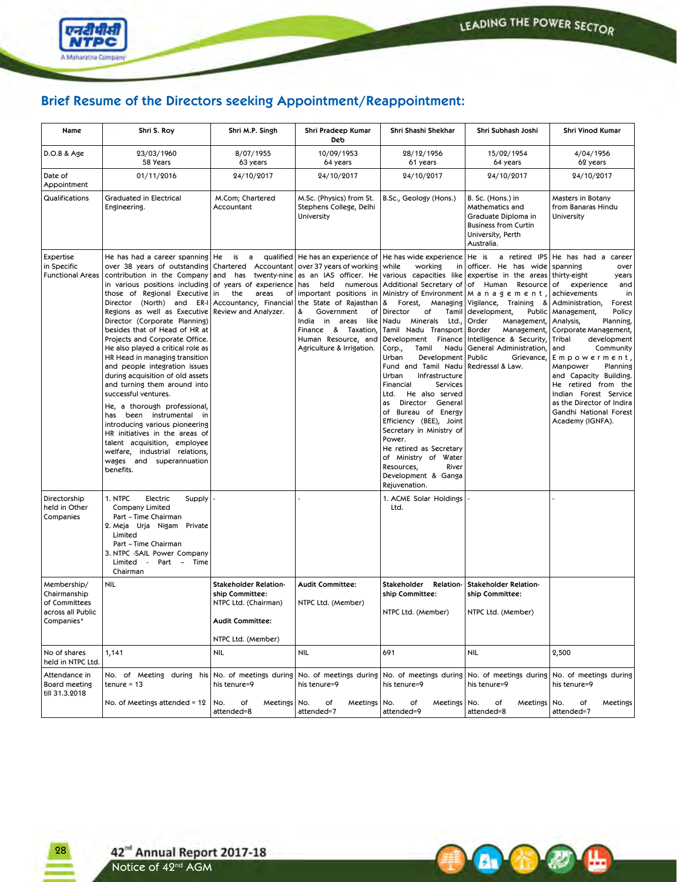**A A** 

L



# **Brief Resume of the Directors seeking Appointment/Reappointment:**

| Name                                                                            | Shri S. Roy                                                                                                                                                                                                                                                                                                                                                                                                                                                                                                                                                                                                                                                                                                                                                                                                 | Shri M.P. Singh                                                                                                                      | Shri Pradeep Kumar<br>Deb                                                                                                                                                                                                                  | Shri Shashi Shekhar                                                                                                                                                                                                                                                                                                                                                                                                                                                                                                                                                                                                   | Shri Subhash Joshi                                                                                                                                                                                                                                                                                                                                                                                                                                | Shri Vinod Kumar                                                                                                                                                                                                                                                                                                                                                                                                                                 |
|---------------------------------------------------------------------------------|-------------------------------------------------------------------------------------------------------------------------------------------------------------------------------------------------------------------------------------------------------------------------------------------------------------------------------------------------------------------------------------------------------------------------------------------------------------------------------------------------------------------------------------------------------------------------------------------------------------------------------------------------------------------------------------------------------------------------------------------------------------------------------------------------------------|--------------------------------------------------------------------------------------------------------------------------------------|--------------------------------------------------------------------------------------------------------------------------------------------------------------------------------------------------------------------------------------------|-----------------------------------------------------------------------------------------------------------------------------------------------------------------------------------------------------------------------------------------------------------------------------------------------------------------------------------------------------------------------------------------------------------------------------------------------------------------------------------------------------------------------------------------------------------------------------------------------------------------------|---------------------------------------------------------------------------------------------------------------------------------------------------------------------------------------------------------------------------------------------------------------------------------------------------------------------------------------------------------------------------------------------------------------------------------------------------|--------------------------------------------------------------------------------------------------------------------------------------------------------------------------------------------------------------------------------------------------------------------------------------------------------------------------------------------------------------------------------------------------------------------------------------------------|
| D.O.B & Age                                                                     | 23/03/1960<br>58 Years                                                                                                                                                                                                                                                                                                                                                                                                                                                                                                                                                                                                                                                                                                                                                                                      | 8/07/1955<br>63 years                                                                                                                | 10/09/1953<br>64 years                                                                                                                                                                                                                     | 28/12/1956<br>61 years                                                                                                                                                                                                                                                                                                                                                                                                                                                                                                                                                                                                | 15/02/1954<br>64 years                                                                                                                                                                                                                                                                                                                                                                                                                            | 4/04/1956<br>62 years                                                                                                                                                                                                                                                                                                                                                                                                                            |
| Date of<br>Appointment                                                          | 01/11/2016                                                                                                                                                                                                                                                                                                                                                                                                                                                                                                                                                                                                                                                                                                                                                                                                  | 24/10/2017                                                                                                                           | 24/10/2017                                                                                                                                                                                                                                 | 24/10/2017                                                                                                                                                                                                                                                                                                                                                                                                                                                                                                                                                                                                            | 24/10/2017                                                                                                                                                                                                                                                                                                                                                                                                                                        | 24/10/2017                                                                                                                                                                                                                                                                                                                                                                                                                                       |
| Qualifications                                                                  | <b>Graduated in Electrical</b><br>Engineering.                                                                                                                                                                                                                                                                                                                                                                                                                                                                                                                                                                                                                                                                                                                                                              | M.Com; Chartered<br>Accountant                                                                                                       | M.Sc. (Physics) from St.<br>Stephens College, Delhi<br>University                                                                                                                                                                          | B.Sc., Geology (Hons.)                                                                                                                                                                                                                                                                                                                                                                                                                                                                                                                                                                                                | B. Sc. (Hons.) in<br>Mathematics and<br>Graduate Diploma in<br><b>Business from Curtin</b><br>University, Perth<br>Australia.                                                                                                                                                                                                                                                                                                                     | Masters in Botany<br>from Banaras Hindu<br>University                                                                                                                                                                                                                                                                                                                                                                                            |
| Expertise<br>in Specific<br><b>Functional Areas</b>                             | He has had a career spanning   He<br>over 38 years of outstanding<br>contribution in the Company<br>in various positions including of years of experience<br>those of Regional Executive<br>Director (North) and<br>ER-I<br>Regions as well as Executive<br>Director (Corporate Planning)<br>besides that of Head of HR at<br>Projects and Corporate Office.<br>He also played a critical role as<br>HR Head in managing transition<br>and people integration issues<br>during acquisition of old assets<br>and turning them around into<br>successful ventures.<br>He, a thorough professional,<br>has been instrumental in<br>introducing various pioneering<br>HR initiatives in the areas of<br>talent acquisition, employee<br>welfare, industrial relations,<br>wages and superannuation<br>benefits. | is<br>a<br>Chartered Accountant<br>and has twenty-nine<br>in<br>the<br>areas<br>of<br>Accountancy, Financial<br>Review and Analyzer. | over 37 years of working<br>as an IAS officer. He<br>has<br>important positions in<br>the State of Rajasthan<br>Government<br>of<br>&<br>India in areas<br>like<br>Finance & Taxation,<br>Human Resource, and<br>Agriculture & Irrigation. | qualified   He has an experience of   He has wide experience<br>while<br>working<br> n <br>  &<br>Forest,<br>Managing<br>Director<br>of<br>Tamil<br>Nadu<br>Minerals Ltd.,<br>Tamil Nadu Transport<br>Development Finance<br>Corp.,<br>Tamil<br>Nadu<br>Urban<br>Development<br>Fund and Tamil Nadu<br>Urban<br>Infrastructure<br>Financial<br>Services<br>Ltd.<br>He also served<br>Director General<br>as<br>of Bureau of Energy<br>Efficiency (BEE), Joint<br>Secretary in Ministry of<br>Power.<br>He retired as Secretary<br>of Ministry of Water<br>Resources,<br>River<br>Development & Ganga<br>Rejuvenation. | He is<br>officer. He has wide spanning<br>various capacities like expertise in the areas thirty-eight<br>held numerous Additional Secretary of of Human Resource of<br>$\vert$ Ministry of Environment $\vert$ M a n a g e m e n t $\vert$<br>Vigilance, Training<br>development,<br>Order<br>Management,   Analysis,<br>Border<br>Management,<br>Intelligence & Security,<br>General Administration,<br>Public<br>Grievance,<br>Redressal & Law. | a retired IPS He has had a career<br>over<br>years<br>experience<br>and<br>achievements<br>in<br>&   Administration,<br>Forest<br>Public   Management,<br>Policy<br>Planning,<br>Corporate Management,<br>Tribal<br>development<br>and<br>Community<br>Empowerment,<br>Manpower<br>Planning<br>and Capacity Building.<br>He retired from the<br>Indian Forest Service<br>as the Director of Indira<br>Gandhi National Forest<br>Academy (IGNFA). |
| Directorship<br>held in Other<br>Companies                                      | 1. NTPC<br>Electric<br>Supply<br>Company Limited<br>Part – Time Chairman<br>2. Meja Urja Nigam Private<br>Limited<br>Part – Time Chairman<br>3. NTPC -SAIL Power Company<br>Limited - Part - Time<br>Chairman                                                                                                                                                                                                                                                                                                                                                                                                                                                                                                                                                                                               |                                                                                                                                      |                                                                                                                                                                                                                                            | 1. ACME Solar Holdings<br>Ltd.                                                                                                                                                                                                                                                                                                                                                                                                                                                                                                                                                                                        |                                                                                                                                                                                                                                                                                                                                                                                                                                                   |                                                                                                                                                                                                                                                                                                                                                                                                                                                  |
| Membership/<br>Chairmanship<br>of Committees<br>across all Public<br>Companies* | NIL                                                                                                                                                                                                                                                                                                                                                                                                                                                                                                                                                                                                                                                                                                                                                                                                         | <b>Stakeholder Relation-</b><br>ship Committee:<br>NTPC Ltd. (Chairman)<br><b>Audit Committee:</b><br>NTPC Ltd. (Member)             | <b>Audit Committee:</b><br>NTPC Ltd. (Member)                                                                                                                                                                                              | Stakeholder<br><b>Relation-</b><br>ship Committee:<br>NTPC Ltd. (Member)                                                                                                                                                                                                                                                                                                                                                                                                                                                                                                                                              | <b>Stakeholder Relation-</b><br>ship Committee:<br>NTPC Ltd. (Member)                                                                                                                                                                                                                                                                                                                                                                             |                                                                                                                                                                                                                                                                                                                                                                                                                                                  |
| No of shares<br>held in NTPC Ltd.                                               | 1,141                                                                                                                                                                                                                                                                                                                                                                                                                                                                                                                                                                                                                                                                                                                                                                                                       | NIL                                                                                                                                  | <b>NIL</b>                                                                                                                                                                                                                                 | 691                                                                                                                                                                                                                                                                                                                                                                                                                                                                                                                                                                                                                   | NIL                                                                                                                                                                                                                                                                                                                                                                                                                                               | 2,500                                                                                                                                                                                                                                                                                                                                                                                                                                            |
| Attendance in<br>Board meeting<br>till 31.3.2018                                | No. of Meeting during his<br>tenure = 13                                                                                                                                                                                                                                                                                                                                                                                                                                                                                                                                                                                                                                                                                                                                                                    | No. of meetings during<br>his tenure=9                                                                                               | No. of meetings during<br>his tenure=9                                                                                                                                                                                                     | No. of meetings during<br>his tenure=9                                                                                                                                                                                                                                                                                                                                                                                                                                                                                                                                                                                | No. of meetings during<br>his tenure=9                                                                                                                                                                                                                                                                                                                                                                                                            | No. of meetings during<br>his tenure=9                                                                                                                                                                                                                                                                                                                                                                                                           |
|                                                                                 | No. of Meetings attended = $12$                                                                                                                                                                                                                                                                                                                                                                                                                                                                                                                                                                                                                                                                                                                                                                             | No.<br>Meetings<br>of<br>attended=8                                                                                                  | No.<br>Meetings   No.<br>of<br>attended=7                                                                                                                                                                                                  | Meetings<br>of<br>attended=9                                                                                                                                                                                                                                                                                                                                                                                                                                                                                                                                                                                          | No.<br>of<br>Meetings<br>attended=8                                                                                                                                                                                                                                                                                                                                                                                                               | No.<br>of<br>Meetings<br>attended=7                                                                                                                                                                                                                                                                                                                                                                                                              |